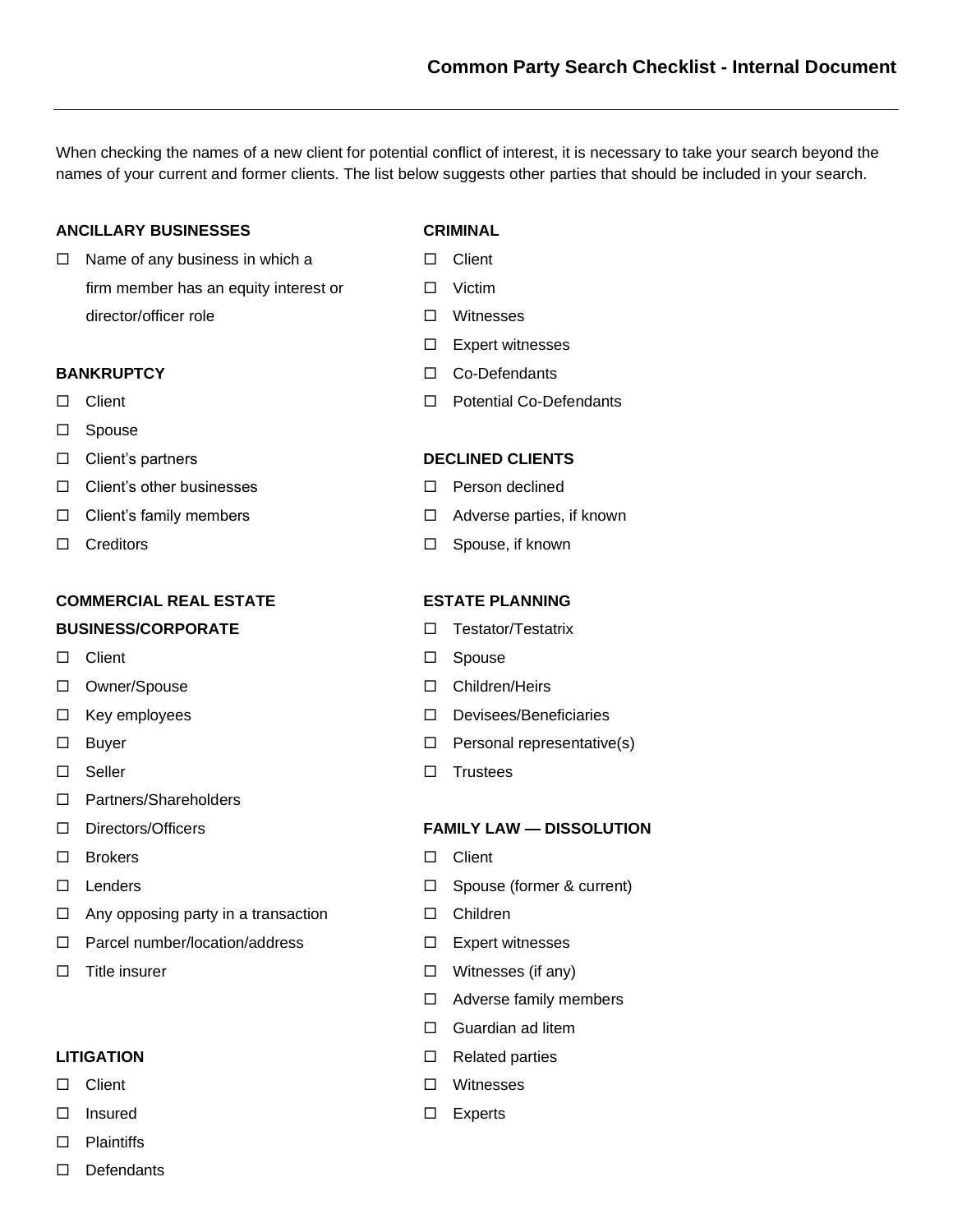When checking the names of a new client for potential conflict of interest, it is necessary to take your search beyond the names of your current and former clients. The list below suggests other parties that should be included in your search.

## **ANCILLARY BUSINESSES CRIMINAL**

 $\Box$  Name of any business in which a  $\Box$  Client firm member has an equity interest or  $\Box$  Victim director/officer role Witnesses

- 
- □ Spouse
- 
- $\Box$  Client's other businesses  $\Box$  Person declined
- 
- 

## **COMMERCIAL REAL ESTATE ESTATE PLANNING**

### **BUSINESS/CORPORATE Testator/Testatrix**

- 
- □ Owner/Spouse Children/Heirs
- 
- 
- 
- □ Partners/Shareholders
- 
- $\square$  Brokers  $\square$  Client
- 
- $\Box$  Any opposing party in a transaction  $\Box$  Children
- $\Box$  Parcel number/location/address  $\Box$  Expert witnesses
- 

- 
- 
- □ Plaintiffs
- $\square$  Defendants

- 
- 
- 
- $\square$  Expert witnesses
- **BANKRUPTCY** and **Co-Defendants**
- □ Client Potential Co-Defendants

### Client's partners **DECLINED CLIENTS**

- 
- $\Box$  Client's family members  $\Box$  Adverse parties, if known
- □ Creditors Spouse, if known

- 
- $\Box$  Client  $\Box$  Spouse
	-
- □ Key employees <br>
□ Devisees/Beneficiaries
- $\square$  Buyer  $\square$  Personal representative(s)
- $\Box$  Seller  $\Box$  Trustees

### Directors/Officers **FAMILY LAW — DISSOLUTION**

- 
- □ Lenders □ Spouse (former & current)
	-
	-
- $\Box$  Title insurer  $\Box$  Witnesses (if any)
	- □ Adverse family members
	- □ Guardian ad litem
- **LITIGATION** Related parties
- □ Client Witnesses
- □ Insured コントランス コントランス 日本 Experts